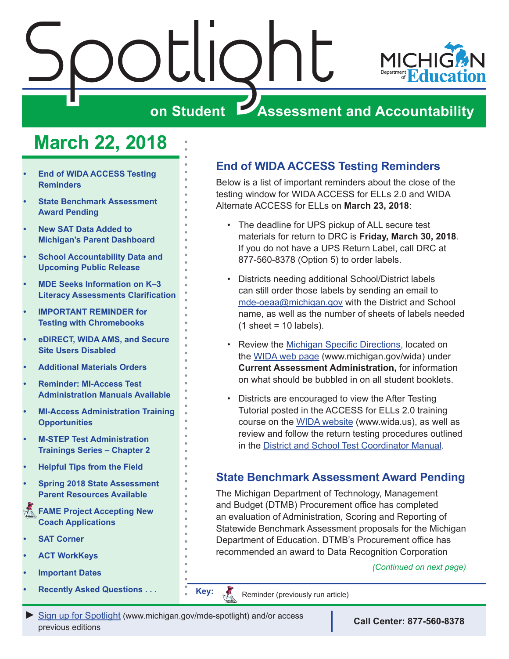# <span id="page-0-0"></span> $\sum_{i=1}^n\left|\frac{1}{i}\right|$



# **on Student Assessment and Accountability**

# **March 22, 2018**

- **End of WIDA ACCESS Testing Reminders**
- **State Benchmark Assessment Award Pending**
- **New SAT Data Added to [Michigan's Parent Dashboard](#page-1-0)**
- **School Accountability Data and [Upcoming Public Release](#page-1-0)**
- **MDE Seeks Information on K–3 [Literacy Assessments Clarification](#page-2-0)**
- **IMPORTANT REMINDER for [Testing with Chromebooks](#page-2-0)**
- **• [eDIRECT, WIDA AMS, and Secure](#page-2-0)  [Site Users Disabled](#page-2-0)**
- **Additional Materials Orders**
- **• [Reminder: MI-Access Test](#page-4-0)  [Administration Manuals Available](#page-4-0)**
- **• [MI-Access Administration Training](#page-4-0)  [Opportunities](#page-4-0)**
- **M-STEP Test Administration [Trainings Series – Chapter 2](#page-5-0)**
- **• [Helpful Tips from the Field](#page-5-0)**
- **• [Spring 2018 State Assessment](#page-6-0)  [Parent Resources Available](#page-6-0)**
- Reminders **[FAME Project Accepting New](#page-7-0)  [Coach Applications](#page-7-0)**
- **SAT Corner**
- **• [ACT WorkKeys](#page-10-0)**
- **[Important Dates](#page-13-0)**
- **[Recently Asked Questions . . .](#page-14-0) . . . . . . . . Key:**

# **End of WIDA ACCESS Testing Reminders**

Below is a list of important reminders about the close of the testing window for WIDA ACCESS for ELLs 2.0 and WIDA Alternate ACCESS for ELLs on **March 23, 2018**:

- • The deadline for UPS pickup of ALL secure test materials for return to DRC is **Friday, March 30, 2018**. If you do not have a UPS Return Label, call DRC at 877-560-8378 (Option 5) to order labels.
- Districts needing additional School/District labels can still order those labels by sending an email to [mde-oeaa@michigan.gov](mailto:mde-oeaa%40michigan.gov?subject=) with the District and School name, as well as the number of sheets of labels needed  $(1 \text{ sheet} = 10 \text{ labels}).$
- Review the [Michigan Specific Directions,](http://www.michigan.gov/documents/mde/17-18_State_Specific_Directions_-_MI_final_613316_7.pdf) located on the [WIDA web page](www.michigan.gov/wida) ([www.michigan.gov/wida\)](www.michigan.gov/wida) under **Current Assessment Administration,** for information on what should be bubbled in on all student booklets.
- • Districts are encouraged to view the After Testing Tutorial posted in the ACCESS for ELLs 2.0 training course on the [WIDA website](www.wida.us) ([www.wida.us](http://www.wida.us)), as well as review and follow the return testing procedures outlined in the [District and School Test Coordinator Manual](https://www.wida.us/assessment/access%202.0/documents/2017DistrictSchoolTestCoordinatorManual.pdf).

# **State Benchmark Assessment Award Pending**

The Michigan Department of Technology, Management and Budget (DTMB) Procurement office has completed an evaluation of Administration, Scoring and Reporting of Statewide Benchmark Assessment proposals for the Michigan Department of Education. DTMB's Procurement office has recommended an award to Data Recognition Corporation

### *(Continued on next page)*

Reminder (previously run article)

Reminders

**[Sign up for Spotlight](https://public.govdelivery.com/accounts/MIMDE/subscriber/new) [\(www.michigan.gov/mde](www.michigan.gov/mde-spotlight)-spotlight) and/or access Call Center: 877-560-8378** previous editions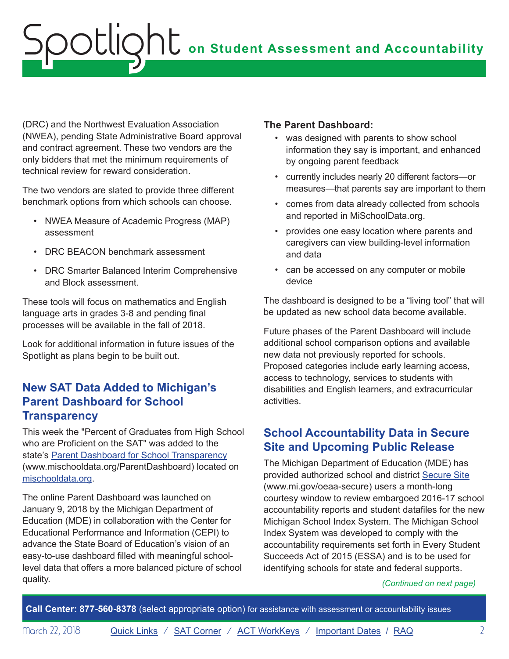<span id="page-1-0"></span>(DRC) and the Northwest Evaluation Association (NWEA), pending State Administrative Board approval and contract agreement. These two vendors are the only bidders that met the minimum requirements of technical review for reward consideration.

The two vendors are slated to provide three different benchmark options from which schools can choose.

- • NWEA Measure of Academic Progress (MAP) assessment
- DRC BEACON benchmark assessment
- DRC Smarter Balanced Interim Comprehensive and Block assessment.

These tools will focus on mathematics and English language arts in grades 3-8 and pending final processes will be available in the fall of 2018.

Look for additional information in future issues of the Spotlight as plans begin to be built out.

## **New SAT Data Added to Michigan's Parent Dashboard for School Transparency**

This week the "Percent of Graduates from High School who are Proficient on the SAT" was added to the state's [Parent Dashboard for School Transparency](http://www.mischooldata.org/ParentDashboard) ([www.mischooldata.org/ParentDashboard\)](http://www.mischooldata.org/ParentDashboard) located on [mischooldata.org.](http://www.mischooldata.org)

The online Parent Dashboard was launched on January 9, 2018 by the Michigan Department of Education (MDE) in collaboration with the Center for Educational Performance and Information (CEPI) to advance the State Board of Education's vision of an easy-to-use dashboard filled with meaningful schoollevel data that offers a more balanced picture of school quality.

### **The Parent Dashboard:**

- was designed with parents to show school information they say is important, and enhanced by ongoing parent feedback
- • currently includes nearly 20 different factors—or measures—that parents say are important to them
- • comes from data already collected from schools and reported in MiSchoolData.org.
- • provides one easy location where parents and caregivers can view building-level information and data
- • can be accessed on any computer or mobile device

The dashboard is designed to be a "living tool" that will be updated as new school data become available.

Future phases of the Parent Dashboard will include additional school comparison options and available new data not previously reported for schools. Proposed categories include early learning access, access to technology, services to students with disabilities and English learners, and extracurricular activities.

# **School Accountability Data in Secure Site and Upcoming Public Release**

The Michigan Department of Education (MDE) has provided authorized school and district [Secure Site](http://www.michigan.gov/oeaa-secure)  ([www.mi.gov/oeaa-secure\)](http://www.michigan.gov/oeaa-secure) users a month-long courtesy window to review embargoed 2016-17 school accountability reports and student datafiles for the new Michigan School Index System. The Michigan School Index System was developed to comply with the accountability requirements set forth in Every Student Succeeds Act of 2015 (ESSA) and is to be used for identifying schools for state and federal supports.

#### *(Continued on next page)*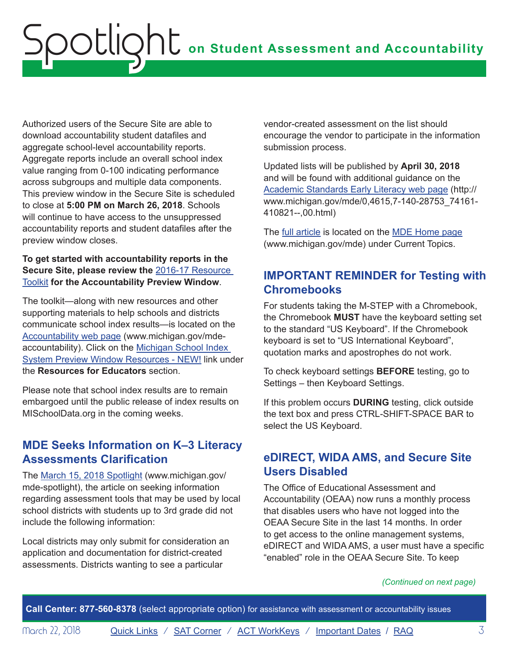<span id="page-2-0"></span>Authorized users of the Secure Site are able to download accountability student datafiles and aggregate school-level accountability reports. Aggregate reports include an overall school index value ranging from 0-100 indicating performance across subgroups and multiple data components. This preview window in the Secure Site is scheduled to close at **5:00 PM on March 26, 2018**. Schools will continue to have access to the unsuppressed accountability reports and student datafiles after the preview window closes.

### **To get started with accountability reports in the Secure Site, please review the** [2016-17 Resource](http://www.mi.gov/documents/mde/Accountability_Preview_Window_Resource_Toolkit_615468_7.pdf)  [Toolkit](http://www.mi.gov/documents/mde/Accountability_Preview_Window_Resource_Toolkit_615468_7.pdf) **for the Accountability Preview Window**.

The toolkit—along with new resources and other supporting materials to help schools and districts communicate school index results—is located on the [Accountability web page](http://www.mi.gov/mde-accountability) (www.michigan.gov/mdeaccountability). Click on the [Michigan School Index](http://www.michigan.gov/mde/0,4615,7-140-81376_59490-251853--,00.html)  [System Preview Window Resources - NEW!](http://www.michigan.gov/mde/0,4615,7-140-81376_59490-251853--,00.html) link under the **Resources for Educators** section.

Please note that school index results are to remain embargoed until the public release of index results on MISchoolData.org in the coming weeks.

## **MDE Seeks Information on K–3 Literacy Assessments Clarification**

The [March 15, 2018 Spotlight](http://www.michigan.gov/documents/mde/Spotlight_3-15-18_617671_7.pdf) [\(www.michigan.gov/](http://www.michigan.gov/mde-spotlight) [mde-spotlight](http://www.michigan.gov/mde-spotlight)), the article on seeking information regarding assessment tools that may be used by local school districts with students up to 3rd grade did not include the following information:

Local districts may only submit for consideration an application and documentation for district-created assessments. Districts wanting to see a particular

vendor-created assessment on the list should encourage the vendor to participate in the information submission process.

Updated lists will be published by **April 30, 2018**  and will be found with additional guidance on the [Academic Standards Early Literacy web page](http://www.michigan.gov/mde/0,4615,7-140-28753_74161-410821--,00.html) ([http://](http://www.michigan.gov/mde/0,4615,7-140-28753_74161-410821--,00.html) [www.michigan.gov/mde/0,4615,7-140-28753\\_74161](http://www.michigan.gov/mde/0,4615,7-140-28753_74161-410821--,00.html) [410821--,00.html](http://www.michigan.gov/mde/0,4615,7-140-28753_74161-410821--,00.html))

The [full article](https://www.michigan.gov/mde/0,4615,7-140-28753_74161-410821--,00.html) is located on the [MDE Home page](http://www.michigan.gov/mde) ([www.michigan.gov/mde](http://www.michigan.gov/mde)) under Current Topics.

# **IMPORTANT REMINDER for Testing with Chromebooks**

For students taking the M-STEP with a Chromebook, the Chromebook **MUST** have the keyboard setting set to the standard "US Keyboard". If the Chromebook keyboard is set to "US International Keyboard", quotation marks and apostrophes do not work.

To check keyboard settings **BEFORE** testing, go to Settings – then Keyboard Settings.

If this problem occurs **DURING** testing, click outside the text box and press CTRL-SHIFT-SPACE BAR to select the US Keyboard.

### **eDIRECT, WIDA AMS, and Secure Site Users Disabled**

The Office of Educational Assessment and Accountability (OEAA) now runs a monthly process that disables users who have not logged into the OEAA Secure Site in the last 14 months. In order to get access to the online management systems, eDIRECT and WIDA AMS, a user must have a specific "enabled" role in the OEAA Secure Site. To keep

### *(Continued on next page)*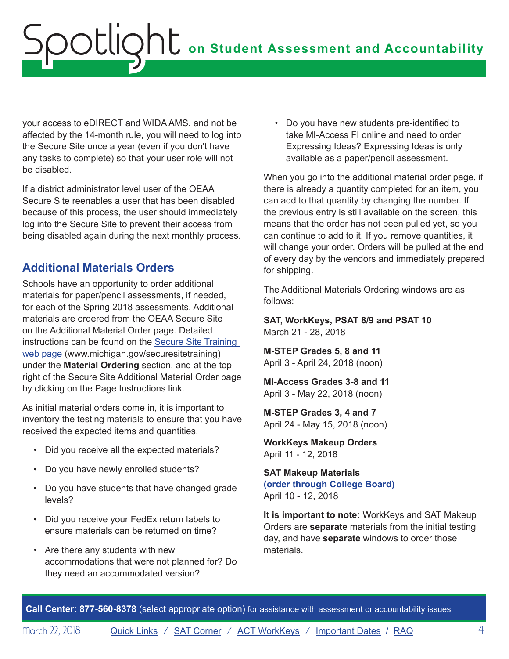<span id="page-3-0"></span>your access to eDIRECT and WIDA AMS, and not be affected by the 14-month rule, you will need to log into the Secure Site once a year (even if you don't have any tasks to complete) so that your user role will not be disabled.

If a district administrator level user of the OEAA Secure Site reenables a user that has been disabled because of this process, the user should immediately log into the Secure Site to prevent their access from being disabled again during the next monthly process.

# **Additional Materials Orders**

Schools have an opportunity to order additional materials for paper/pencil assessments, if needed, for each of the Spring 2018 assessments. Additional materials are ordered from the OEAA Secure Site on the Additional Material Order page. Detailed instructions can be found on the [Secure Site Training](http://www.michigan.gov/securesitetraining)  [web page \(www.michigan.gov/securesitetraining\)](http://www.michigan.gov/securesitetraining) under the **Material Ordering** section, and at the top right of the Secure Site Additional Material Order page by clicking on the Page Instructions link.

As initial material orders come in, it is important to inventory the testing materials to ensure that you have received the expected items and quantities.

- • Did you receive all the expected materials?
- • Do you have newly enrolled students?
- • Do you have students that have changed grade levels?
- • Did you receive your FedEx return labels to ensure materials can be returned on time?
- • Are there any students with new accommodations that were not planned for? Do they need an accommodated version?

• Do you have new students pre-identified to take MI-Access FI online and need to order Expressing Ideas? Expressing Ideas is only available as a paper/pencil assessment.

When you go into the additional material order page, if there is already a quantity completed for an item, you can add to that quantity by changing the number. If the previous entry is still available on the screen, this means that the order has not been pulled yet, so you can continue to add to it. If you remove quantities, it will change your order. Orders will be pulled at the end of every day by the vendors and immediately prepared for shipping.

The Additional Materials Ordering windows are as follows:

 **SAT, WorkKeys, PSAT 8/9 and PSAT 10** March 21 - 28, 2018

 **M-STEP Grades 5, 8 and 11** April 3 - April 24, 2018 (noon)

 **MI-Access Grades 3-8 and 11** April 3 - May 22, 2018 (noon)

 **M-STEP Grades 3, 4 and 7** April 24 - May 15, 2018 (noon)

 **WorkKeys Makeup Orders** April 11 - 12, 2018

### **SAT Makeup Materials (order through College Board)**  April 10 - 12, 2018

**It is important to note:** WorkKeys and SAT Makeup Orders are **separate** materials from the initial testing day, and have **separate** windows to order those materials.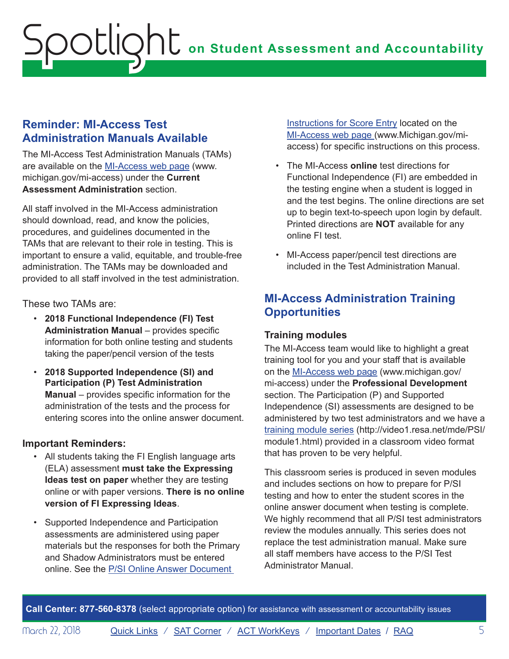### <span id="page-4-0"></span>**Reminder: MI-Access Test Administration Manuals Available**

The MI-Access Test Administration Manuals (TAMs) are available on the [MI-Access web page](http://www.michigan.gov/mi-access) ([www.](http://www.michigan.gov/mi-access) [michigan.gov/mi-access](http://www.michigan.gov/mi-access)) under the **Current Assessment Administration** section.

All staff involved in the MI-Access administration should download, read, and know the policies, procedures, and guidelines documented in the TAMs that are relevant to their role in testing. This is important to ensure a valid, equitable, and trouble-free administration. The TAMs may be downloaded and provided to all staff involved in the test administration.

These two TAMs are:

- • **2018 Functional Independence (FI) Test Administration Manual** – provides specific information for both online testing and students taking the paper/pencil version of the tests
- • **2018 Supported Independence (SI) and Participation (P) Test Administration Manual** – provides specific information for the administration of the tests and the process for entering scores into the online answer document.

### **Important Reminders:**

- All students taking the FI English language arts (ELA) assessment **must take the Expressing Ideas test on paper** whether they are testing online or with paper versions. **There is no online version of FI Expressing Ideas**.
- • Supported Independence and Participation assessments are administered using paper materials but the responses for both the Primary and Shadow Administrators must be entered online. See the [P/SI Online Answer Document](http://www.michigan.gov/documents/mde/P-SI_Online_Answer_Document_-_Instructions_522454_7.pdf)

**[Instructions for Score Entry](http://www.michigan.gov/documents/mde/P-SI_Online_Answer_Document_-_Instructions_522454_7.pdf) located on the** [MI-Access web page \(www.Michigan.gov/mi](http://www.michigan.gov/mi-access)[access](http://www.michigan.gov/mi-access)) for specific instructions on this process.

- • The MI-Access **online** test directions for Functional Independence (FI) are embedded in the testing engine when a student is logged in and the test begins. The online directions are set up to begin text-to-speech upon login by default. Printed directions are **NOT** available for any online FI test.
- • MI-Access paper/pencil test directions are included in the Test Administration Manual.

# **MI-Access Administration Training Opportunities**

### **Training modules**

The MI-Access team would like to highlight a great training tool for you and your staff that is available on the [MI-Access web page](http://www.michigan.gov/mi-access) ([www.michigan.gov/](http://www.michigan.gov/mi-access)  [mi-access\)](http://www.michigan.gov/mi-access) under the **Professional Development**  section. The Participation (P) and Supported Independence (SI) assessments are designed to be administered by two test administrators and we have a [training module series](http://video1.resa.net/mde/PSI/module1.html) (http://video1.resa.net/mde/PSI/ module1.html) provided in a classroom video format that has proven to be very helpful.

This classroom series is produced in seven modules and includes sections on how to prepare for P/SI testing and how to enter the student scores in the online answer document when testing is complete. We highly recommend that all P/SI test administrators review the modules annually. This series does not replace the test administration manual. Make sure all staff members have access to the P/SI Test Administrator Manual.

**Call Center: 877-560-8378** (select appropriate option) for assistance with assessment or accountability issues

March 22, 2018 **[Quick Links](#page-0-0)** / [SAT Corner](#page-8-1) / [ACT WorkKeys](#page-10-1) / [Important Dates](#page-13-1) / [RAQ](#page-14-1) 5 5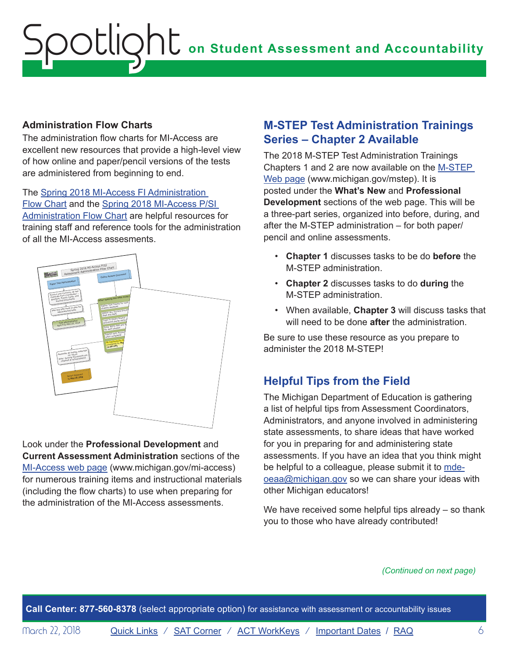### <span id="page-5-0"></span>**Administration Flow Charts**

The administration flow charts for MI-Access are excellent new resources that provide a high-level view of how online and paper/pencil versions of the tests are administered from beginning to end.

The [Spring 2018 MI-Access FI Administration](http://www.michigan.gov/documents/mde/MI-Access_FI_Assessment_Administration_FlowChart_612118_7.pdf)  [Flow Chart](http://www.michigan.gov/documents/mde/MI-Access_FI_Assessment_Administration_FlowChart_612118_7.pdf) and the [Spring 2018 MI-Access P/SI](http://www.michigan.gov/documents/mde/MI-Access_P-SI_Assessment_Administration_FlowChart_612119_7.pdf)  [Administration Flow Chart](http://www.michigan.gov/documents/mde/MI-Access_P-SI_Assessment_Administration_FlowChart_612119_7.pdf) are helpful resources for training staff and reference tools for the administration of all the MI-Access assesments.



Look under the **Professional Development** and **Current Assessment Administration** sections of the [MI-Access web page](http://www.michigan.gov/documents/mde/MI-Access_P-SI_Assessment_Administration_FlowChart_612119_7.pdf) ([www.michigan.gov/mi-access](http://www.michigan.gov/mi-access)) for numerous training items and instructional materials (including the flow charts) to use when preparing for the administration of the MI-Access assessments.

### **M-STEP Test Administration Trainings Series – Chapter 2 Available**

The 2018 M-STEP Test Administration Trainings Chapters 1 and 2 are now available on the [M-STEP](www.michigan.gov/mstep)  [Web page](www.michigan.gov/mstep) (<www.michigan.gov/mstep>). It is posted under the **What's New** and **Professional Development** sections of the web page. This will be a three-part series, organized into before, during, and after the M-STEP administration – for both paper/ pencil and online assessments.

- • **Chapter 1** discusses tasks to be do **before** the M-STEP administration.
- • **Chapter 2** discusses tasks to do **during** the M-STEP administration.
- • When available, **Chapter 3** will discuss tasks that will need to be done **after** the administration.

Be sure to use these resource as you prepare to administer the 2018 M-STEP!

# **Helpful Tips from the Field**

The Michigan Department of Education is gathering a list of helpful tips from Assessment Coordinators, Administrators, and anyone involved in administering state assessments, to share ideas that have worked for you in preparing for and administering state assessments. If you have an idea that you think might be helpful to a colleague, please submit it to [mde](mailto:mde-oeaa%40michigan.gov?subject=)[oeaa@michigan.gov](mailto:mde-oeaa%40michigan.gov?subject=) so we can share your ideas with other Michigan educators!

We have received some helpful tips already – so thank you to those who have already contributed!

### *(Continued on next page)*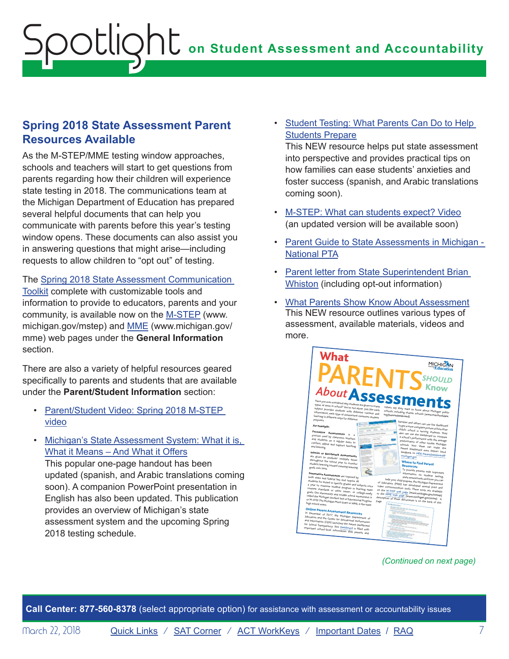### <span id="page-6-0"></span>**Spring 2018 State Assessment Parent Resources Available**

As the M-STEP/MME testing window approaches, schools and teachers will start to get questions from parents regarding how their children will experience state testing in 2018. The communications team at the Michigan Department of Education has prepared several helpful documents that can help you communicate with parents before this year's testing window opens. These documents can also assist you in answering questions that might arise—including requests to allow children to "opt out" of testing.

The [Spring 2018 State Assessment Communication](https://www.michigan.gov/documents/mde/M-STEP_Data_Release_Communications_Toolkit-Fall_final_629778_7.docx)  [Toolkit](https://www.michigan.gov/documents/mde/M-STEP_Data_Release_Communications_Toolkit-Fall_final_629778_7.docx) complete with customizable tools and information to provide to educators, parents and your community, is available now on the [M-STEP](www.michigan.gov/mstep) ([www.](www.michigan.gov/mstep) [michigan.gov/mstep\)](www.michigan.gov/mstep) and [MME](www.michigan.gov/mme) [\(www.michigan.gov/](#page-10-1) [mme](#page-10-1)) web pages under the **General Information** 

There are also a variety of helpful resources geared specifically to parents and students that are available under the **Parent/Student Information** section:

section.

- Parent/Student Video: Spring 2018 M-STEP [video](https://www.youtube.com/watch?v=oz0lT8yLt3E&list=PLQNv-MrTjyhLZWGC8WhRGxoEmynfXUHuc)
- What it Means And What it Offers • Michigan's State Assessment System: What it is,

This popular one-page handout has been updated (spanish, and Arabic translations coming soon). A companion PowerPoint presentation in English has also been updated. This publication provides an overview of Michigan's state assessment system and the upcoming Spring 2018 testing schedule.

**Students Prepare** • Student Testing: What Parents Can Do to Help

This NEW resource helps put state assessment into perspective and provides practical tips on how families can ease students' anxieties and foster success (spanish, and Arabic translations coming soon).

- M-STEP: What can students expect? Video (an updated version will be available soon)
- Parent Guide to State Assessments in Michigan -[National PTA](http://www.michigan.gov/documents/mde/PTA_MI_8PG_29DEC13_FINAL_WEB_498700_7.pdf)
- Parent letter from State Superintendent Brian [Whiston](http://www.michigan.gov/mde/0,4615,7-140-22709_70117-380605--,00.html) (including opt-out information)
- What Parents Show Know About Assessment This NEW resource outlines various types of assessment, available materials, videos and more.



### *(Continued on next page)*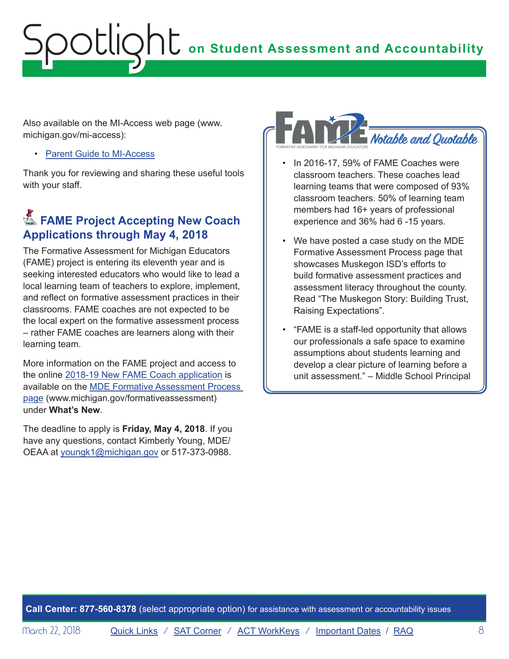<span id="page-7-0"></span>Also available on the MI-Access web page (www. michigan.gov/mi-access):

• [Parent Guide to MI-Access](http://www.michigan.gov/documents/mde/Parent_Guide_to_MI-Access_Final_8.10.16_531866_7.pdf)

Thank you for reviewing and sharing these useful tools with your staff.

# **Example Project Accepting New Coach Applications through May 4, 2018**

The Formative Assessment for Michigan Educators (FAME) project is entering its eleventh year and is seeking interested educators who would like to lead a local learning team of teachers to explore, implement, and reflect on formative assessment practices in their classrooms. FAME coaches are not expected to be the local expert on the formative assessment process – rather FAME coaches are learners along with their learning team.

More information on the FAME project and access to the online [2018-19 New FAME Coach application](https://www.surveymonkey.com/r/FAMEnewcoaches) is available on the [MDE Formative Assessment Process](http://www.michigan.gov/formativeassessment)  [page](http://www.michigan.gov/formativeassessment) [\(www.michigan.gov/formativeassessment](http://www.michigan.gov/formativeassessment)) under **What's New**.

The deadline to apply is **Friday, May 4, 2018**. If you have any questions, contact Kimberly Young, MDE/ OEAA at [youngk1@michigan.gov](mailto:youngk1%40michigan.gov?subject=) or 517-373-0988.



- In 2016-17, 59% of FAME Coaches were classroom teachers. These coaches lead learning teams that were composed of 93% classroom teachers. 50% of learning team members had 16+ years of professional experience and 36% had 6 -15 years.
- We have posted a case study on the MDE Formative Assessment Process page that showcases Muskegon ISD's efforts to build formative assessment practices and assessment literacy throughout the county. Read "The Muskegon Story: Building Trust, Raising Expectations".
- "FAME is a staff-led opportunity that allows our professionals a safe space to examine assumptions about students learning and develop a clear picture of learning before a unit assessment." – Middle School Principal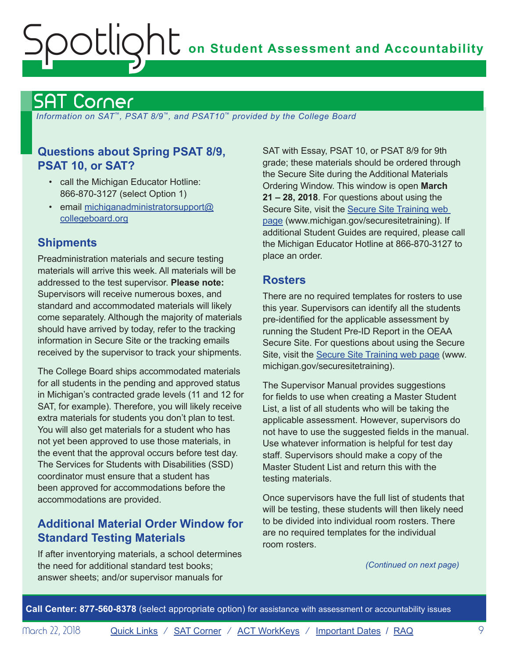# <span id="page-8-1"></span><span id="page-8-0"></span>SAT Corner

 *Information on SAT*™*, PSAT 8/9*™*, and PSAT10*™ *provided by the College Board* 

## **Questions about Spring PSAT 8/9, SAT with Essay, PSAT 10, or PSAT 8/9 for 9th PSAT 10, or SAT?**

- call the Michigan Educator Hotline: 866-870-3127 (select Option 1)
- email [michiganadministratorsupport@](mailto:michiganadministratorsupport%40collegeboard.org?subject=) [collegeboard.org](mailto:michiganadministratorsupport%40collegeboard.org?subject=)

# **Shipments**

Preadministration materials and secure testing materials will arrive this week. All materials will be addressed to the test supervisor. **Please note:**  Supervisors will receive numerous boxes, and standard and accommodated materials will likely come separately. Although the majority of materials should have arrived by today, refer to the tracking information in Secure Site or the tracking emails received by the supervisor to track your shipments.

The College Board ships accommodated materials for all students in the pending and approved status in Michigan's contracted grade levels (11 and 12 for SAT, for example). Therefore, you will likely receive extra materials for students you don't plan to test. You will also get materials for a student who has not yet been approved to use those materials, in the event that the approval occurs before test day. The Services for Students with Disabilities (SSD) coordinator must ensure that a student has been approved for accommodations before the accommodations are provided.

## **Additional Material Order Window for Standard Testing Materials**

If after inventorying materials, a school determines the need for additional standard test books; answer sheets; and/or supervisor manuals for

grade; these materials should be ordered through the Secure Site during the Additional Materials Ordering Window. This window is open **March 21 – 28, 2018**. For questions about using the Secure Site, visit the **Secure Site Training web** [page](http://www.michigan.gov/securesitetraining) [\(www.michigan.gov/securesitetraining](http://www.michigan.gov/securesitetraining)). If additional Student Guides are required, please call the Michigan Educator Hotline at 866-870-3127 to place an order.

### **Rosters**

There are no required templates for rosters to use this year. Supervisors can identify all the students pre-identified for the applicable assessment by running the Student Pre-ID Report in the OEAA Secure Site. For questions about using the Secure Site, visit the [Secure Site Training web page \(www.](http://www.michigan.gov/securesitetraining)  [michigan.gov/securesitetraining](http://www.michigan.gov/securesitetraining)).

The Supervisor Manual provides suggestions for fields to use when creating a Master Student List, a list of all students who will be taking the applicable assessment. However, supervisors do not have to use the suggested fields in the manual. Use whatever information is helpful for test day staff. Supervisors should make a copy of the Master Student List and return this with the testing materials.

Once supervisors have the full list of students that will be testing, these students will then likely need to be divided into individual room rosters. There are no required templates for the individual room rosters.

*(Continued on next page)*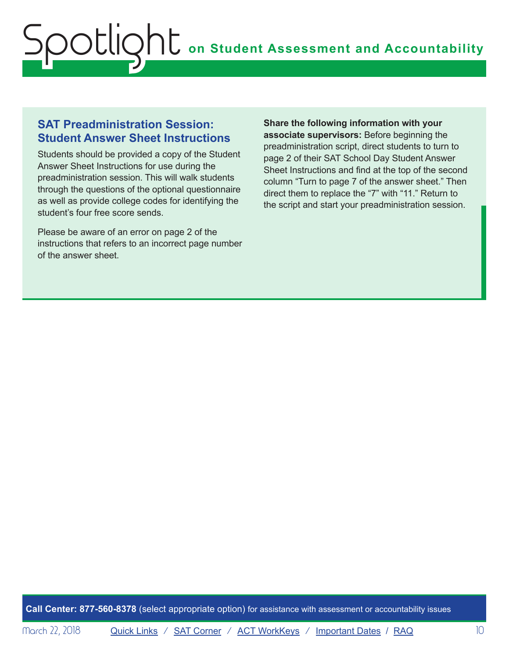### **SAT Preadministration Session: Student Answer Sheet Instructions**

Students should be provided a copy of the Student Answer Sheet Instructions for use during the preadministration session. This will walk students through the questions of the optional questionnaire as well as provide college codes for identifying the student's four free score sends.

Please be aware of an error on page 2 of the instructions that refers to an incorrect page number of the answer sheet.

**Share the following information with your associate supervisors:** Before beginning the preadministration script, direct students to turn to page 2 of their SAT School Day Student Answer Sheet Instructions and find at the top of the second column "Turn to page 7 of the answer sheet." Then direct them to replace the "7" with "11." Return to the script and start your preadministration session.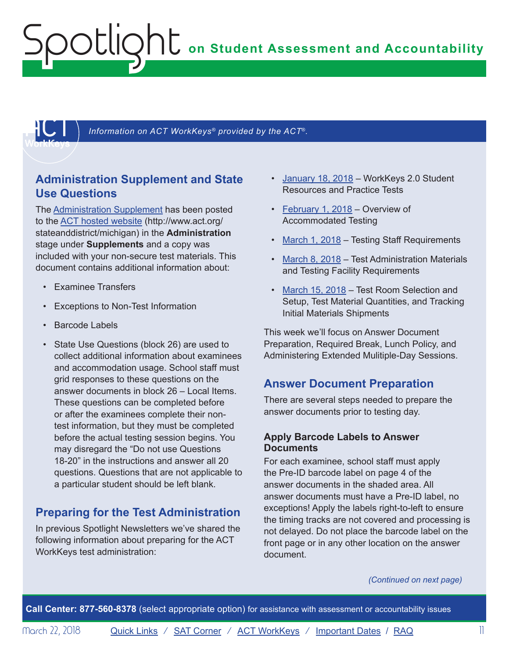**on Student Assessment and Accountability**

<span id="page-10-1"></span>

Information on ACT WorkKeys<sup>®</sup> provided by the ACT<sup>®</sup>.

### **Administration Supplement and State Use Questions**

The [Administration Supplement](https://www.act.org/content/dam/act/unsecured/documents/AdministrationSupplementWorkKeys-MI.pdf) has been posted to the [ACT hosted website](http://www.act.org/stateanddistrict/michigan) ([http://www.act.org/](http://www.act.org/stateanddistrict/michigan) [stateanddistrict/michigan\)](http://www.act.org/stateanddistrict/michigan) in the **Administration**  stage under **Supplements** and a copy was included with your non-secure test materials. This document contains additional information about:

• Examinee Transfers

<span id="page-10-0"></span>Spotlight

- Exceptions to Non-Test Information
- Barcode Labels
- State Use Questions (block 26) are used to collect additional information about examinees and accommodation usage. School staff must grid responses to these questions on the answer documents in block 26 – Local Items. These questions can be completed before or after the examinees complete their nontest information, but they must be completed before the actual testing session begins. You may disregard the "Do not use Questions 18-20" in the instructions and answer all 20 questions. Questions that are not applicable to a particular student should be left blank.

# **Preparing for the Test Administration**

In previous Spotlight Newsletters we've shared the following information about preparing for the ACT WorkKeys test administration:

- [January 18, 2018](http://www.michigan.gov/documents/mde/Spotlight_1-18-18_611438_7.pdf) WorkKeys 2.0 Student Resources and Practice Tests
- [February 1, 2018](http://www.michigan.gov/documents/mde/Spotlight_2-1-18_612790_7.pdf)  Overview of Accommodated Testing
- [March 1, 2018](http://www.michigan.gov/documents/mde/Spotlight_3-1-18_616023_7.pdf) Testing Staff Requirements
- [March 8, 2018](http://www.michigan.gov/documents/mde/Spotlight_3-8-18_616793_7.pdf) Test Administration Materials and Testing Facility Requirements
- [March 15, 2018](http://www.michigan.gov/documents/mde/Spotlight_3-15-18_617671_7.pdf) Test Room Selection and Setup, Test Material Quantities, and Tracking Initial Materials Shipments

This week we'll focus on Answer Document Preparation, Required Break, Lunch Policy, and Administering Extended Mulitiple-Day Sessions.

### **Answer Document Preparation**

There are several steps needed to prepare the answer documents prior to testing day.

### **Apply Barcode Labels to Answer Documents**

For each examinee, school staff must apply the Pre-ID barcode label on page 4 of the answer documents in the shaded area. All answer documents must have a Pre-ID label, no exceptions! Apply the labels right-to-left to ensure the timing tracks are not covered and processing is not delayed. Do not place the barcode label on the front page or in any other location on the answer document.

*(Continued on next page)*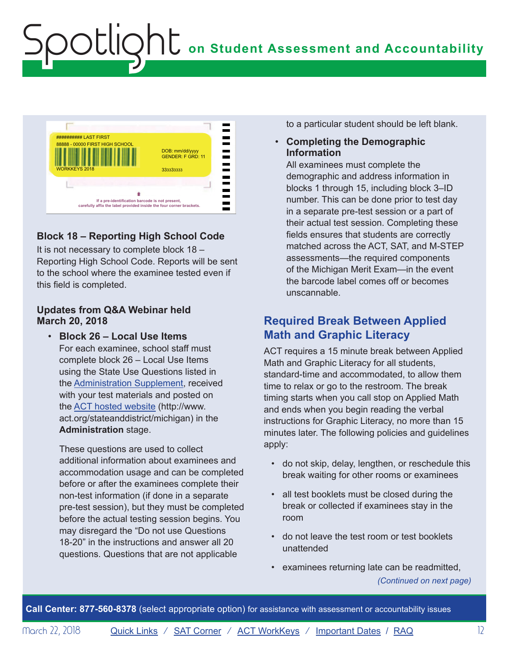

Spotlight

### **Block 18 – Reporting High School Code**

It is not necessary to complete block 18 – Reporting High School Code. Reports will be sent to the school where the examinee tested even if this field is completed.

#### **Updates from Q&A Webinar held March 20, 2018**

 • **Block 26 – Local Use Items** For each examinee, school staff must complete block 26 – Local Use Items using the State Use Questions listed in the [Administration Supplement, r](https://www.act.org/content/dam/act/unsecured/documents/AdministrationSupplementWorkKeys-MI.pdf)eceived with your test materials and posted on the [ACT hosted website](http://www.act.org/stateanddistrict/michigan) ([http://www.](http://www.act.org/stateanddistrict/michigan)  [act.org/stateanddistrict/michigan](http://www.act.org/stateanddistrict/michigan)) in the **Administration** stage.

These questions are used to collect additional information about examinees and accommodation usage and can be completed before or after the examinees complete their non-test information (if done in a separate pre-test session), but they must be completed before the actual testing session begins. You may disregard the "Do not use Questions 18-20" in the instructions and answer all 20 questions. Questions that are not applicable

to a particular student should be left blank.

### • **Completing the Demographic Information**

All examinees must complete the demographic and address information in blocks 1 through 15, including block 3–ID number. This can be done prior to test day in a separate pre-test session or a part of their actual test session. Completing these fields ensures that students are correctly matched across the ACT, SAT, and M-STEP assessments—the required components of the Michigan Merit Exam—in the event the barcode label comes off or becomes unscannable.

### **Required Break Between Applied Math and Graphic Literacy**

ACT requires a 15 minute break between Applied Math and Graphic Literacy for all students, standard-time and accommodated, to allow them time to relax or go to the restroom. The break timing starts when you call stop on Applied Math and ends when you begin reading the verbal instructions for Graphic Literacy, no more than 15 minutes later. The following policies and guidelines apply:

- do not skip, delay, lengthen, or reschedule this break waiting for other rooms or examinees
- • all test booklets must be closed during the break or collected if examinees stay in the room
- • do not leave the test room or test booklets unattended
- • examinees returning late can be readmitted,

*(Continued on next page)*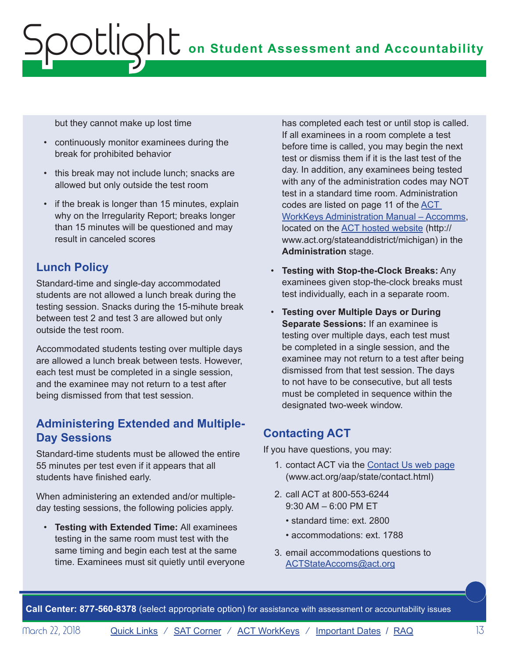but they cannot make up lost time

- • continuously monitor examinees during the break for prohibited behavior
- this break may not include lunch; snacks are allowed but only outside the test room
- if the break is longer than 15 minutes, explain why on the Irregularity Report; breaks longer than 15 minutes will be questioned and may result in canceled scores

# **Lunch Policy**

Standard-time and single-day accommodated students are not allowed a lunch break during the testing session. Snacks during the 15-mihute break between test 2 and test 3 are allowed but only outside the test room.

Accommodated students testing over multiple days are allowed a lunch break between tests. However, each test must be completed in a single session, and the examinee may not return to a test after being dismissed from that test session.

# **Administering Extended and Multiple-Day Sessions**

Standard-time students must be allowed the entire 55 minutes per test even if it appears that all students have finished early.

When administering an extended and/or multipleday testing sessions, the following policies apply.

• **Testing with Extended Time:** All examinees testing in the same room must test with the same timing and begin each test at the same time. Examinees must sit quietly until everyone has completed each test or until stop is called. If all examinees in a room complete a test before time is called, you may begin the next test or dismiss them if it is the last test of the day. In addition, any examinees being tested with any of the administration codes may NOT test in a standard time room. Administration codes are listed on page 11 of the [ACT](https://www.act.org/content/dam/act/secured/documents/pdfs/WK-Admin-SD-Accoms-Secured.pdf)  [WorkKeys Administration Manual – Accomms](https://www.act.org/content/dam/act/secured/documents/pdfs/WK-Admin-SD-Accoms-Secured.pdf), located on the [ACT hosted website](http://www.act.org/stateanddistrict/michigan) ([http://](http://www.act.org/stateanddistrict/michigan) [www.act.org/stateanddistrict/michigan](http://www.act.org/stateanddistrict/michigan)) in the **Administration** stage.

- • **Testing with Stop-the-Clock Breaks:** Any examinees given stop-the-clock breaks must test individually, each in a separate room.
- • **Testing over Multiple Days or During Separate Sessions:** If an examinee is testing over multiple days, each test must be completed in a single session, and the examinee may not return to a test after being dismissed from that test session. The days to not have to be consecutive, but all tests must be completed in sequence within the designated two-week window.

# **Contacting ACT**

If you have questions, you may:

- 1. contact ACT via the [Contact Us web page](http://www.act.org/aap/state/contact.html) [\(www.act.org/aap/state/contact.html](www.act.org/aap/state/contact.html))
- 2. call ACT at 800-553-6244 9:30 AM – 6:00 PM ET
	- standard time: ext. 2800
	- accommodations: ext. 1788
- 3. email accommodations questions to [ACTStateAccoms@act.org](mailto:ACTStateAccoms%40act.org?subject=)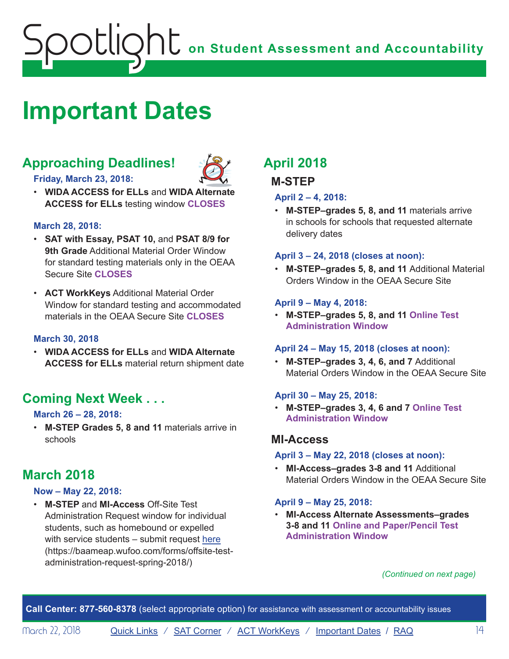# <span id="page-13-1"></span><span id="page-13-0"></span>**Important Dates**

# **Approaching Deadlines!**



- **Friday, March 23, 2018:**
- • **WIDA ACCESS for ELLs** and **WIDA Alternate ACCESS for ELLs** testing window **CLOSES**

### **March 28, 2018:**

- • **SAT with Essay, PSAT 10,** and **PSAT 8/9 for 9th Grade** Additional Material Order Window for standard testing materials only in the OEAA Secure Site **CLOSES**
- • **ACT WorkKeys** Additional Material Order Window for standard testing and accommodated materials in the OEAA Secure Site **CLOSES**

### **March 30, 2018**

• **WIDA ACCESS for ELLs** and **WIDA Alternate ACCESS for ELLs** material return shipment date

# **Coming Next Week . . .**

### **March 26 – 28, 2018:**

• **M-STEP Grades 5, 8 and 11** materials arrive in schools

# **March 2018**

### **Now – May 22, 2018:**

• **M-STEP** and **MI-Access** Off-Site Test Administration Request window for individual students, such as homebound or expelled with service students – submit request [here](https://baameap.wufoo.com/forms/offsite-test-administration-request-spring-2018/)  ([https://baameap.wufoo.com/forms/offsite-test](https://baameap.wufoo.com/forms/offsite-test-administration-request-spring-2018/)[administration-request-spring-2018/\)](https://baameap.wufoo.com/forms/offsite-test-administration-request-spring-2018/)

# **April 2018**

### **M-STEP**

### **April 2 – 4, 2018:**

• **M-STEP–grades 5, 8, and 11** materials arrive in schools for schools that requested alternate delivery dates

### **April 3 – 24, 2018 (closes at noon):**

• **M-STEP–grades 5, 8, and 11** Additional Material Orders Window in the OEAA Secure Site

### **April 9 – May 4, 2018:**

• **M-STEP–grades 5, 8, and 11 Online Test Administration Window**

### **April 24 – May 15, 2018 (closes at noon):**

• **M-STEP–grades 3, 4, 6, and 7** Additional Material Orders Window in the OEAA Secure Site

### **April 30 – May 25, 2018:**

• **M-STEP–grades 3, 4, 6 and 7 Online Test Administration Window**

### **MI-Access**

### **April 3 – May 22, 2018 (closes at noon):**

• **MI-Access–grades 3-8 and 11** Additional Material Orders Window in the OEAA Secure Site

### **April 9 – May 25, 2018:**

• **MI-Access Alternate Assessments–grades 3-8 and 11 Online and Paper/Pencil Test Administration Window** 

### *(Continued on next page)*

**Call Center: 877-560-8378** (select appropriate option) for assistance with assessment or accountability issues

March 22, 2018 **[Quick Links](#page-0-0)** / [SAT Corner](#page-8-1) / [ACT WorkKeys](#page-10-1) / [Important Dates](#page-13-1) / [RAQ](#page-14-1) 14 14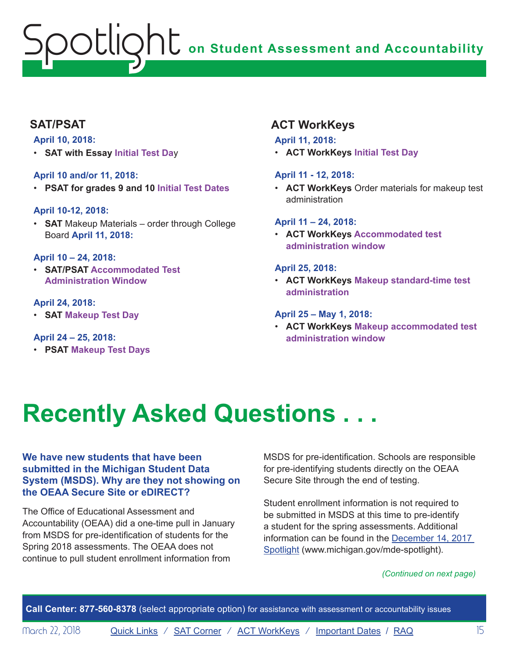### <span id="page-14-0"></span>**SAT/PSAT**

### **April 10, 2018:**

• **SAT with Essay Initial Test Da**y

### **April 10 and/or 11, 2018:**

• **PSAT for grades 9 and 10 Initial Test Dates** 

### **April 10-12, 2018:**

• **SAT** Makeup Materials – order through College Board **April 11, 2018:** 

### **April 10 – 24, 2018:**

• **SAT/PSAT Accommodated Test Administration Window**

### **April 24, 2018:**

• **SAT Makeup Test Day** 

### **April 24 – 25, 2018:**

• **PSAT Makeup Test Days** 

# **ACT WorkKeys**

### **April 11, 2018:**

• **ACT WorkKeys Initial Test Day** 

### **April 11 - 12, 2018:**

• **ACT WorkKeys** Order materials for makeup test administration

### **April 11 – 24, 2018:**

• **ACT WorkKeys Accommodated test administration window**

### **April 25, 2018:**

• **ACT WorkKeys Makeup standard-time test administration**

### **April 25 – May 1, 2018:**

• **ACT WorkKeys Makeup accommodated test administration window** 

# <span id="page-14-1"></span>**Recently Asked Questions . . .**

### **We have new students that have been submitted in the Michigan Student Data System (MSDS). Why are they not showing on the OEAA Secure Site or eDIRECT?**

The Office of Educational Assessment and Accountability (OEAA) did a one-time pull in January from MSDS for pre-identification of students for the Spring 2018 assessments. The OEAA does not continue to pull student enrollment information from

MSDS for pre-identification. Schools are responsible for pre-identifying students directly on the OEAA Secure Site through the end of testing.

Student enrollment information is not required to be submitted in MSDS at this time to pre-identify a student for the spring assessments. Additional information can be found in the [December 14, 2017](http://www.michigan.gov/documents/mde/Spotlight_12-14-17_608699_7.pdf)  [Spotlight](http://www.michigan.gov/documents/mde/Spotlight_12-14-17_608699_7.pdf) ([www.michigan.gov/mde-spotlight\)](http://www.michigan.gov/mde-spotlight).

### *(Continued on next page)*